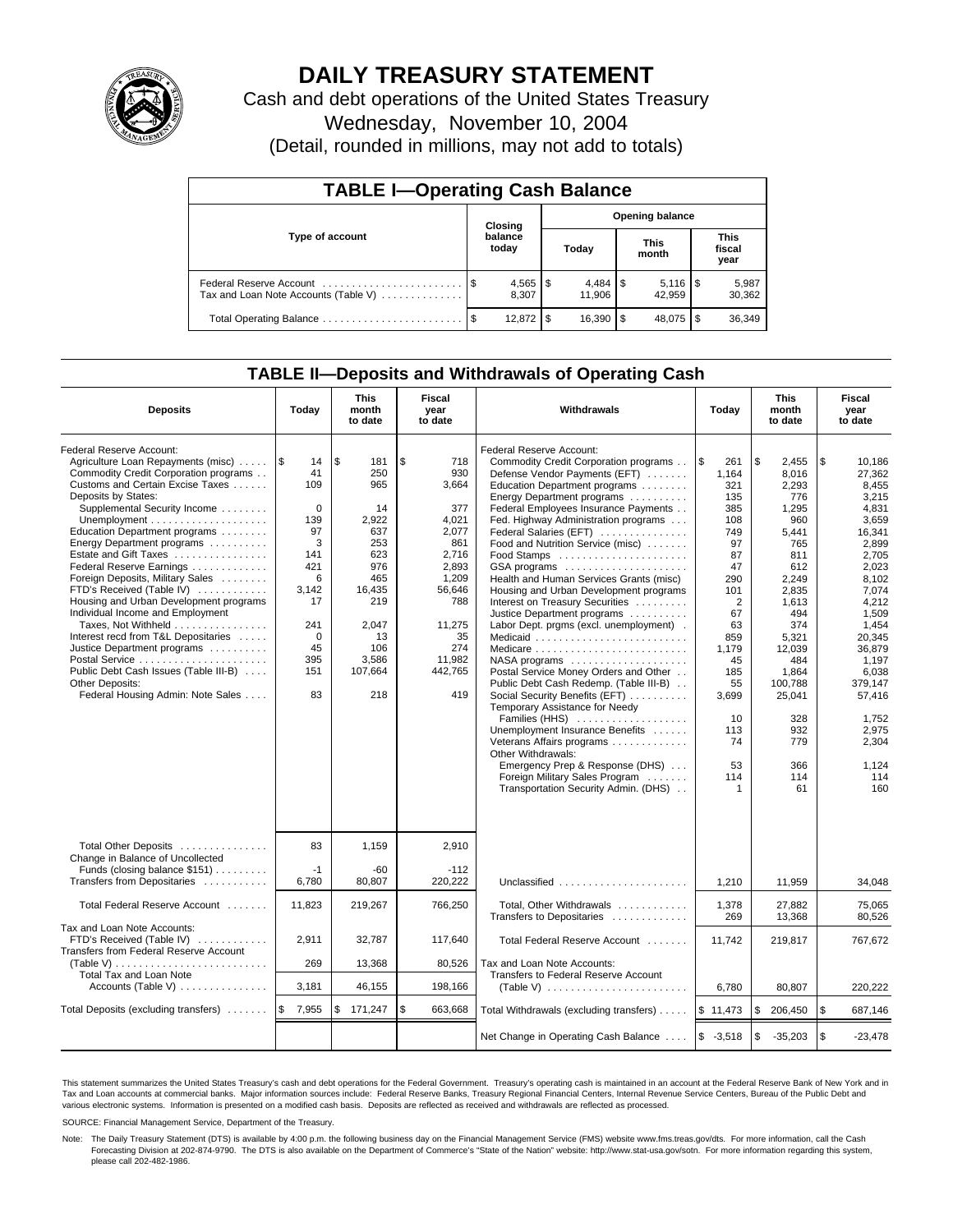

# **DAILY TREASURY STATEMENT**

Cash and debt operations of the United States Treasury Wednesday, November 10, 2004

(Detail, rounded in millions, may not add to totals)

| <b>TABLE I-Operating Cash Balance</b> |  |                  |                        |               |  |                                 |  |                               |  |  |
|---------------------------------------|--|------------------|------------------------|---------------|--|---------------------------------|--|-------------------------------|--|--|
| Type of account                       |  | Closing          | <b>Opening balance</b> |               |  |                                 |  |                               |  |  |
|                                       |  | balance<br>today |                        | Today         |  | <b>This</b><br>month            |  | <b>This</b><br>fiscal<br>year |  |  |
| Tax and Loan Note Accounts (Table V)  |  | 8.307            |                        | 11.906        |  | $5,116$ $\frac{1}{3}$<br>42.959 |  | 5,987<br>30,362               |  |  |
|                                       |  | 12.872           |                        | $16.390$ \ \$ |  | 48,075 \$                       |  | 36,349                        |  |  |

### **TABLE II—Deposits and Withdrawals of Operating Cash**

| <b>Deposits</b>                                                                                                                                                                                                                                                                                                                                                                                                                                                                                                                                                                                                                                                                             | Today                                                                                                                           | This<br>month<br>to date                                                                                                                    | Fiscal<br>year<br>to date                                                                                                                                | Withdrawals                                                                                                                                                                                                                                                                                                                                                                                                                                                                                                                                                                                                                                                                                                                                                                                                                                                                                      | Today                                                                                                                                                                         | This<br>month<br>to date                                                                                                                                                                                       | Fiscal<br>year<br>to date                                                                                                                                                                                                          |
|---------------------------------------------------------------------------------------------------------------------------------------------------------------------------------------------------------------------------------------------------------------------------------------------------------------------------------------------------------------------------------------------------------------------------------------------------------------------------------------------------------------------------------------------------------------------------------------------------------------------------------------------------------------------------------------------|---------------------------------------------------------------------------------------------------------------------------------|---------------------------------------------------------------------------------------------------------------------------------------------|----------------------------------------------------------------------------------------------------------------------------------------------------------|--------------------------------------------------------------------------------------------------------------------------------------------------------------------------------------------------------------------------------------------------------------------------------------------------------------------------------------------------------------------------------------------------------------------------------------------------------------------------------------------------------------------------------------------------------------------------------------------------------------------------------------------------------------------------------------------------------------------------------------------------------------------------------------------------------------------------------------------------------------------------------------------------|-------------------------------------------------------------------------------------------------------------------------------------------------------------------------------|----------------------------------------------------------------------------------------------------------------------------------------------------------------------------------------------------------------|------------------------------------------------------------------------------------------------------------------------------------------------------------------------------------------------------------------------------------|
| Federal Reserve Account:<br>Agriculture Loan Repayments (misc)    \$<br>Commodity Credit Corporation programs<br>Customs and Certain Excise Taxes<br>Deposits by States:<br>Supplemental Security Income<br>Education Department programs<br>Energy Department programs<br>Estate and Gift Taxes<br>Federal Reserve Earnings<br>Foreign Deposits, Military Sales<br>FTD's Received (Table IV)<br>Housing and Urban Development programs<br>Individual Income and Employment<br>Taxes, Not Withheld<br>Interest recd from T&L Depositaries<br>Justice Department programs<br>Postal Service<br>Public Debt Cash Issues (Table III-B)<br>Other Deposits:<br>Federal Housing Admin: Note Sales | 14<br>41<br>109<br>$\Omega$<br>139<br>97<br>3<br>141<br>421<br>6<br>3.142<br>17<br>241<br>$\mathbf 0$<br>45<br>395<br>151<br>83 | \$<br>181<br>250<br>965<br>14<br>2,922<br>637<br>253<br>623<br>976<br>465<br>16,435<br>219<br>2,047<br>13<br>106<br>3,586<br>107,664<br>218 | \$<br>718<br>930<br>3,664<br>377<br>4,021<br>2,077<br>861<br>2,716<br>2,893<br>1,209<br>56.646<br>788<br>11,275<br>35<br>274<br>11,982<br>442,765<br>419 | Federal Reserve Account:<br>Commodity Credit Corporation programs<br>Defense Vendor Payments (EFT)<br>Education Department programs<br>Energy Department programs<br>Federal Employees Insurance Payments<br>Fed. Highway Administration programs<br>Federal Salaries (EFT)<br>Food and Nutrition Service (misc)<br>Food Stamps<br>GSA programs<br>Health and Human Services Grants (misc)<br>Housing and Urban Development programs<br>Interest on Treasury Securities<br>Justice Department programs<br>Labor Dept. prgms (excl. unemployment).<br>Medicaid<br>Medicare<br>$NASA$ programs $\ldots \ldots \ldots \ldots \ldots$<br>Postal Service Money Orders and Other<br>Public Debt Cash Redemp. (Table III-B)<br>Social Security Benefits (EFT)<br>Temporary Assistance for Needy<br>Families (HHS)<br>Unemployment Insurance Benefits<br>Veterans Affairs programs<br>Other Withdrawals: | $\sqrt{3}$<br>261<br>1,164<br>321<br>135<br>385<br>108<br>749<br>97<br>87<br>47<br>290<br>101<br>2<br>67<br>63<br>859<br>1,179<br>45<br>185<br>55<br>3,699<br>10<br>113<br>74 | <b>S</b><br>2,455<br>8,016<br>2.293<br>776<br>1,295<br>960<br>5,441<br>765<br>811<br>612<br>2.249<br>2.835<br>1,613<br>494<br>374<br>5,321<br>12,039<br>484<br>1.864<br>100.788<br>25,041<br>328<br>932<br>779 | \$<br>10,186<br>27,362<br>8.455<br>3.215<br>4,831<br>3,659<br>16,341<br>2,899<br>2,705<br>2,023<br>8.102<br>7.074<br>4,212<br>1,509<br>1.454<br>20.345<br>36,879<br>1,197<br>6.038<br>379.147<br>57,416<br>1,752<br>2,975<br>2,304 |
|                                                                                                                                                                                                                                                                                                                                                                                                                                                                                                                                                                                                                                                                                             |                                                                                                                                 |                                                                                                                                             |                                                                                                                                                          | Emergency Prep & Response (DHS)<br>Foreign Military Sales Program<br>Transportation Security Admin. (DHS)                                                                                                                                                                                                                                                                                                                                                                                                                                                                                                                                                                                                                                                                                                                                                                                        | 53<br>114<br>1                                                                                                                                                                | 366<br>114<br>61                                                                                                                                                                                               | 1.124<br>114<br>160                                                                                                                                                                                                                |
| Total Other Deposits<br>Change in Balance of Uncollected                                                                                                                                                                                                                                                                                                                                                                                                                                                                                                                                                                                                                                    | 83                                                                                                                              | 1,159                                                                                                                                       | 2,910                                                                                                                                                    |                                                                                                                                                                                                                                                                                                                                                                                                                                                                                                                                                                                                                                                                                                                                                                                                                                                                                                  |                                                                                                                                                                               |                                                                                                                                                                                                                |                                                                                                                                                                                                                                    |
| Funds (closing balance \$151)<br>Transfers from Depositaries                                                                                                                                                                                                                                                                                                                                                                                                                                                                                                                                                                                                                                | $-1$<br>6,780                                                                                                                   | $-60$<br>80,807                                                                                                                             | $-112$<br>220,222                                                                                                                                        | Unclassified                                                                                                                                                                                                                                                                                                                                                                                                                                                                                                                                                                                                                                                                                                                                                                                                                                                                                     | 1,210                                                                                                                                                                         | 11,959                                                                                                                                                                                                         | 34,048                                                                                                                                                                                                                             |
| Total Federal Reserve Account                                                                                                                                                                                                                                                                                                                                                                                                                                                                                                                                                                                                                                                               | 11,823                                                                                                                          | 219,267                                                                                                                                     | 766,250                                                                                                                                                  | Total, Other Withdrawals<br>Transfers to Depositaries                                                                                                                                                                                                                                                                                                                                                                                                                                                                                                                                                                                                                                                                                                                                                                                                                                            | 1,378<br>269                                                                                                                                                                  | 27,882<br>13,368                                                                                                                                                                                               | 75,065<br>80,526                                                                                                                                                                                                                   |
| Tax and Loan Note Accounts:<br>FTD's Received (Table IV)<br>Transfers from Federal Reserve Account                                                                                                                                                                                                                                                                                                                                                                                                                                                                                                                                                                                          | 2,911                                                                                                                           | 32,787                                                                                                                                      | 117,640                                                                                                                                                  | Total Federal Reserve Account                                                                                                                                                                                                                                                                                                                                                                                                                                                                                                                                                                                                                                                                                                                                                                                                                                                                    | 11.742                                                                                                                                                                        | 219,817                                                                                                                                                                                                        | 767,672                                                                                                                                                                                                                            |
| (Table V)                                                                                                                                                                                                                                                                                                                                                                                                                                                                                                                                                                                                                                                                                   | 269                                                                                                                             | 13,368                                                                                                                                      | 80,526                                                                                                                                                   | Tax and Loan Note Accounts:                                                                                                                                                                                                                                                                                                                                                                                                                                                                                                                                                                                                                                                                                                                                                                                                                                                                      |                                                                                                                                                                               |                                                                                                                                                                                                                |                                                                                                                                                                                                                                    |
| Total Tax and Loan Note<br>Accounts (Table V)                                                                                                                                                                                                                                                                                                                                                                                                                                                                                                                                                                                                                                               | 3,181                                                                                                                           | 46,155                                                                                                                                      | 198,166                                                                                                                                                  | Transfers to Federal Reserve Account<br>(Table V) $\ldots \ldots \ldots \ldots \ldots \ldots \ldots$                                                                                                                                                                                                                                                                                                                                                                                                                                                                                                                                                                                                                                                                                                                                                                                             | 6,780                                                                                                                                                                         | 80,807                                                                                                                                                                                                         | 220,222                                                                                                                                                                                                                            |
| Total Deposits (excluding transfers)                                                                                                                                                                                                                                                                                                                                                                                                                                                                                                                                                                                                                                                        | 1\$<br>7,955                                                                                                                    | \$<br>171,247                                                                                                                               | \$<br>663,668                                                                                                                                            | Total Withdrawals (excluding transfers)                                                                                                                                                                                                                                                                                                                                                                                                                                                                                                                                                                                                                                                                                                                                                                                                                                                          | \$11,473                                                                                                                                                                      | <b>S</b><br>206,450                                                                                                                                                                                            | \$<br>687,146                                                                                                                                                                                                                      |
|                                                                                                                                                                                                                                                                                                                                                                                                                                                                                                                                                                                                                                                                                             |                                                                                                                                 |                                                                                                                                             |                                                                                                                                                          | Net Change in Operating Cash Balance                                                                                                                                                                                                                                                                                                                                                                                                                                                                                                                                                                                                                                                                                                                                                                                                                                                             | $$ -3,518$                                                                                                                                                                    | $\sqrt{3}$<br>$-35,203$                                                                                                                                                                                        | \$<br>$-23,478$                                                                                                                                                                                                                    |

This statement summarizes the United States Treasury's cash and debt operations for the Federal Government. Treasury's operating cash is maintained in an account at the Federal Reserve Bank of New York and in Tax and Loan accounts at commercial banks. Major information sources include: Federal Reserve Banks, Treasury Regional Financial Centers, Internal Revenue Service Centers, Bureau of the Public Debt and<br>various electronic s

SOURCE: Financial Management Service, Department of the Treasury.

Note: The Daily Treasury Statement (DTS) is available by 4:00 p.m. the following business day on the Financial Management Service (FMS) website www.fms.treas.gov/dts. For more information, call the Cash Forecasting Division at 202-874-9790. The DTS is also available on the Department of Commerce's "State of the Nation" website: http://www.stat-usa.gov/sotn. For more information regarding this system, please call 202-482-1986.